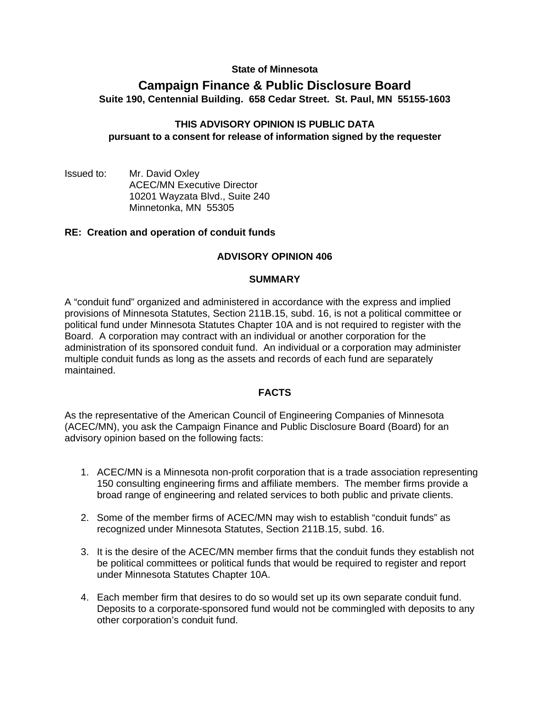# **State of Minnesota**

# **Campaign Finance & Public Disclosure Board Suite 190, Centennial Building. 658 Cedar Street. St. Paul, MN 55155-1603**

# **THIS ADVISORY OPINION IS PUBLIC DATA pursuant to a consent for release of information signed by the requester**

Issued to: Mr. David Oxley ACEC/MN Executive Director 10201 Wayzata Blvd., Suite 240 Minnetonka, MN 55305

# **RE: Creation and operation of conduit funds**

# **ADVISORY OPINION 406**

## **SUMMARY**

A "conduit fund" organized and administered in accordance with the express and implied provisions of Minnesota Statutes, Section 211B.15, subd. 16, is not a political committee or political fund under Minnesota Statutes Chapter 10A and is not required to register with the Board. A corporation may contract with an individual or another corporation for the administration of its sponsored conduit fund. An individual or a corporation may administer multiple conduit funds as long as the assets and records of each fund are separately maintained.

## **FACTS**

As the representative of the American Council of Engineering Companies of Minnesota (ACEC/MN), you ask the Campaign Finance and Public Disclosure Board (Board) for an advisory opinion based on the following facts:

- 1. ACEC/MN is a Minnesota non-profit corporation that is a trade association representing 150 consulting engineering firms and affiliate members. The member firms provide a broad range of engineering and related services to both public and private clients.
- 2. Some of the member firms of ACEC/MN may wish to establish "conduit funds" as recognized under Minnesota Statutes, Section 211B.15, subd. 16.
- 3. It is the desire of the ACEC/MN member firms that the conduit funds they establish not be political committees or political funds that would be required to register and report under Minnesota Statutes Chapter 10A.
- 4. Each member firm that desires to do so would set up its own separate conduit fund. Deposits to a corporate-sponsored fund would not be commingled with deposits to any other corporation's conduit fund.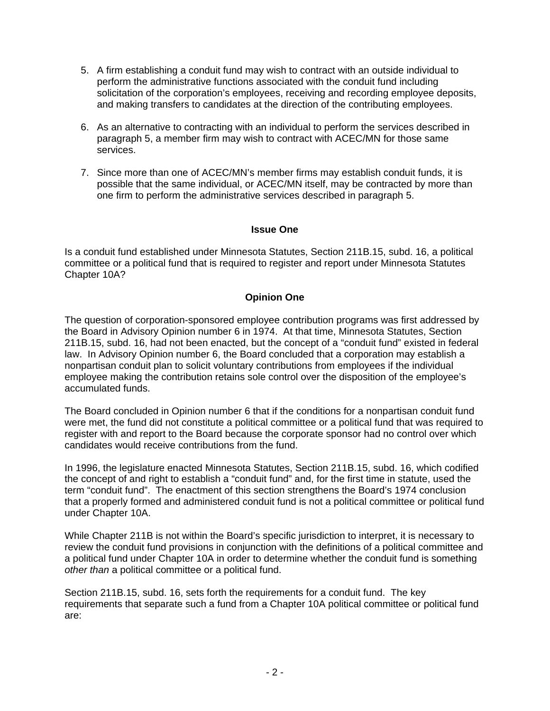- 5. A firm establishing a conduit fund may wish to contract with an outside individual to perform the administrative functions associated with the conduit fund including solicitation of the corporation's employees, receiving and recording employee deposits, and making transfers to candidates at the direction of the contributing employees.
- 6. As an alternative to contracting with an individual to perform the services described in paragraph 5, a member firm may wish to contract with ACEC/MN for those same services.
- 7. Since more than one of ACEC/MN's member firms may establish conduit funds, it is possible that the same individual, or ACEC/MN itself, may be contracted by more than one firm to perform the administrative services described in paragraph 5.

# **Issue One**

Is a conduit fund established under Minnesota Statutes, Section 211B.15, subd. 16, a political committee or a political fund that is required to register and report under Minnesota Statutes Chapter 10A?

# **Opinion One**

The question of corporation-sponsored employee contribution programs was first addressed by the Board in Advisory Opinion number 6 in 1974. At that time, Minnesota Statutes, Section 211B.15, subd. 16, had not been enacted, but the concept of a "conduit fund" existed in federal law. In Advisory Opinion number 6, the Board concluded that a corporation may establish a nonpartisan conduit plan to solicit voluntary contributions from employees if the individual employee making the contribution retains sole control over the disposition of the employee's accumulated funds.

The Board concluded in Opinion number 6 that if the conditions for a nonpartisan conduit fund were met, the fund did not constitute a political committee or a political fund that was required to register with and report to the Board because the corporate sponsor had no control over which candidates would receive contributions from the fund.

In 1996, the legislature enacted Minnesota Statutes, Section 211B.15, subd. 16, which codified the concept of and right to establish a "conduit fund" and, for the first time in statute, used the term "conduit fund". The enactment of this section strengthens the Board's 1974 conclusion that a properly formed and administered conduit fund is not a political committee or political fund under Chapter 10A.

While Chapter 211B is not within the Board's specific jurisdiction to interpret, it is necessary to review the conduit fund provisions in conjunction with the definitions of a political committee and a political fund under Chapter 10A in order to determine whether the conduit fund is something *other than* a political committee or a political fund.

Section 211B.15, subd. 16, sets forth the requirements for a conduit fund. The key requirements that separate such a fund from a Chapter 10A political committee or political fund are: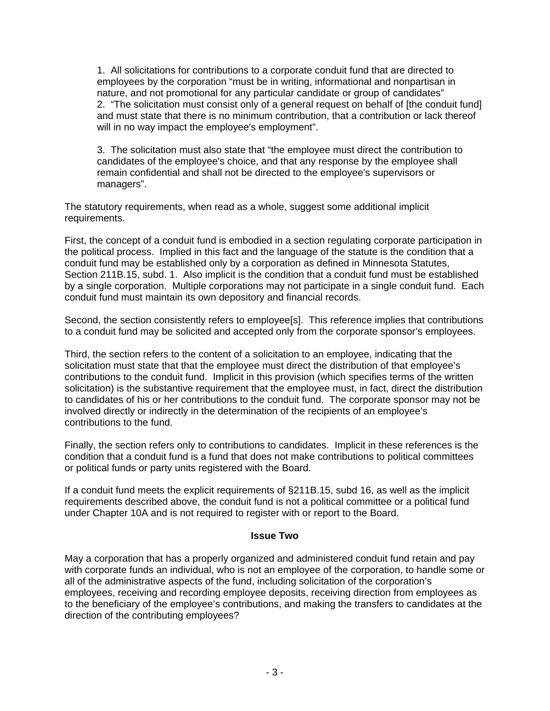1. All solicitations for contributions to a corporate conduit fund that are directed to employees by the corporation "must be in writing, informational and nonpartisan in nature, and not promotional for any particular candidate or group of candidates" 2. "The solicitation must consist only of a general request on behalf of [the conduit fund] and must state that there is no minimum contribution, that a contribution or lack thereof will in no way impact the employee's employment".

3. The solicitation must also state that "the employee must direct the contribution to candidates of the employee's choice, and that any response by the employee shall remain confidential and shall not be directed to the employee's supervisors or managers".

The statutory requirements, when read as a whole, suggest some additional implicit requirements.

First, the concept of a conduit fund is embodied in a section regulating corporate participation in the political process. Implied in this fact and the language of the statute is the condition that a conduit fund may be established only by a corporation as defined in Minnesota Statutes, Section 211B.15, subd. 1. Also implicit is the condition that a conduit fund must be established by a single corporation. Multiple corporations may not participate in a single conduit fund. Each conduit fund must maintain its own depository and financial records.

Second, the section consistently refers to employee[s]. This reference implies that contributions to a conduit fund may be solicited and accepted only from the corporate sponsor's employees.

Third, the section refers to the content of a solicitation to an employee, indicating that the solicitation must state that that the employee must direct the distribution of that employee's contributions to the conduit fund. Implicit in this provision (which specifies terms of the written solicitation) is the substantive requirement that the employee must, in fact, direct the distribution to candidates of his or her contributions to the conduit fund. The corporate sponsor may not be involved directly or indirectly in the determination of the recipients of an employee's contributions to the fund.

Finally, the section refers only to contributions to candidates. Implicit in these references is the condition that a conduit fund is a fund that does not make contributions to political committees or political funds or party units registered with the Board.

If a conduit fund meets the explicit requirements of §211B.15, subd 16, as well as the implicit requirements described above, the conduit fund is not a political committee or a political fund under Chapter 10A and is not required to register with or report to the Board.

## **Issue Two**

May a corporation that has a properly organized and administered conduit fund retain and pay with corporate funds an individual, who is not an employee of the corporation, to handle some or all of the administrative aspects of the fund, including solicitation of the corporation's employees, receiving and recording employee deposits, receiving direction from employees as to the beneficiary of the employee's contributions, and making the transfers to candidates at the direction of the contributing employees?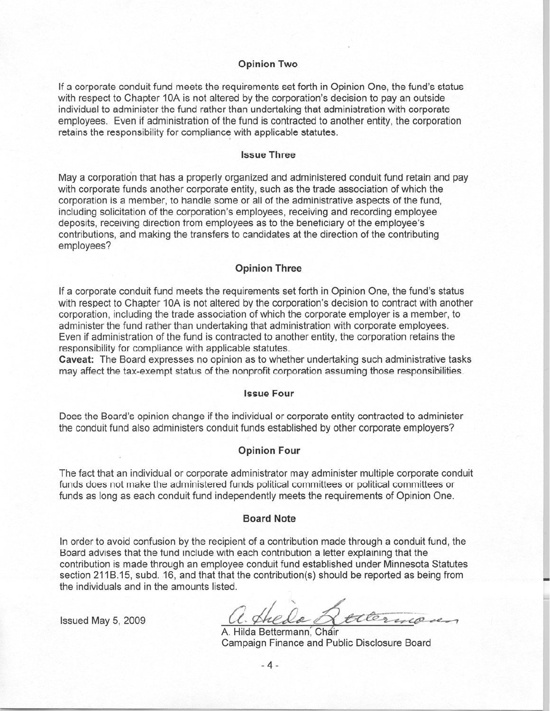#### **Opinion Two**

If a corporate conduit fund meets the requirements set forth in Opinion One, the fund's status with respect to Chapter 10A is not altered by the corporation's decision to pay an outside individual to administer the fund rather than undertaking that administration with corporate employees. Even if administration of the fund is contracted to another entity, the corporation retains the responsibility for compliance with applicable statutes.

#### **Issue Three**

May a corporation that has a properly organized and administered conduit fund retain and pay with corporate funds another corporate entity, such as the trade association of which the corporation is a member, to handle some or all of the administrative aspects of the fund, including solicitation of the corporation's employees, receiving and recording employee deposits, receiving direction from employees as to the beneficiary of the employee's contributions, and making the transfers to candidates at the direction of the contributing employees?

### **Opinion Three**

If a corporate conduit fund meets the requirements set forth in Opinion One, the fund's status with respect to Chapter 10A is not altered by the corporation's decision to contract with another corporation, including the trade association of which the corporate employer is a member, to administer the fund rather than undertaking that administration with corporate employees. Even if administration of the fund is contracted to another entity, the corporation retains the responsibility for compliance with applicable statutes.

Caveat: The Board expresses no opinion as to whether undertaking such administrative tasks may affect the tax-exempt status of the nonprofit corporation assuming those responsibilities.

## **Issue Four**

Does the Board's opinion change if the individual or corporate entity contracted to administer the conduit fund also administers conduit funds established by other corporate employers?

## **Opinion Four**

The fact that an individual or corporate administrator may administer multiple corporate conduit funds does not make the administered funds political committees or political committees or funds as long as each conduit fund independently meets the requirements of Opinion One.

#### **Board Note**

In order to avoid confusion by the recipient of a contribution made through a conduit fund, the Board advises that the fund include with each contribution a letter explaining that the contribution is made through an employee conduit fund established under Minnesota Statutes section 211B.15, subd. 16, and that that the contribution(s) should be reported as being from the individuals and in the amounts listed.

Issued May 5, 2009

1. Ahela Atterna

A. Hilda Bettermann, Chair Campaign Finance and Public Disclosure Board